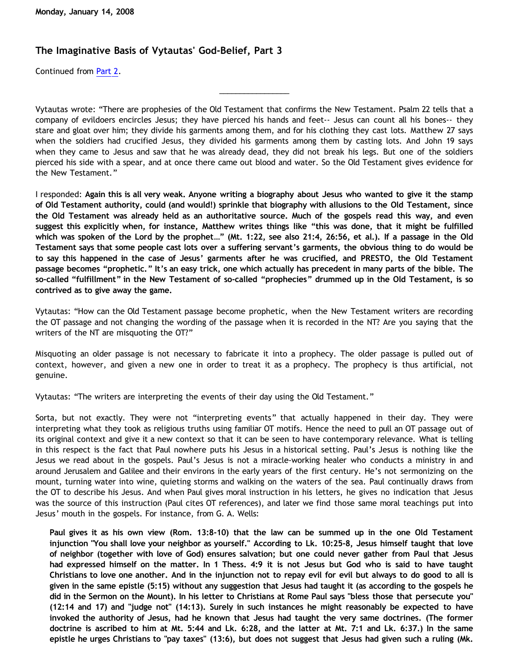## **The Imaginative Basis of Vytautas' God-Belief, Part 3**

Continued from [Part 2.](http://bahnsenburner.blogspot.com/2008/01/imaginative-basis-of-vytautas-god_13.html)

Vytautas wrote: "There are prophesies of the Old Testament that confirms the New Testament. Psalm 22 tells that a company of evildoers encircles Jesus; they have pierced his hands and feet-- Jesus can count all his bones-- they stare and gloat over him; they divide his garments among them, and for his clothing they cast lots. Matthew 27 says when the soldiers had crucified Jesus, they divided his garments among them by casting lots. And John 19 says when they came to Jesus and saw that he was already dead, they did not break his legs. But one of the soldiers pierced his side with a spear, and at once there came out blood and water. So the Old Testament gives evidence for the New Testament."

\_\_\_\_\_\_\_\_\_\_\_\_\_\_\_\_\_

I responded: **Again this is all very weak. Anyone writing a biography about Jesus who wanted to give it the stamp of Old Testament authority, could (and would!) sprinkle that biography with allusions to the Old Testament, since the Old Testament was already held as an authoritative source. Much of the gospels read this way, and even suggest this explicitly when, for instance, Matthew writes things like "this was done, that it might be fulfilled which was spoken of the Lord by the prophet…" (Mt. 1:22, see also 21:4, 26:56, et al.). If a passage in the Old Testament says that some people cast lots over a suffering servant's garments, the obvious thing to do would be to say this happened in the case of Jesus' garments after he was crucified, and PRESTO, the Old Testament passage becomes "prophetic." It's an easy trick, one which actually has precedent in many parts of the bible. The so-called "fulfillment" in the New Testament of so-called "prophecies" drummed up in the Old Testament, is so contrived as to give away the game.**

Vytautas: "How can the Old Testament passage become prophetic, when the New Testament writers are recording the OT passage and not changing the wording of the passage when it is recorded in the NT? Are you saying that the writers of the NT are misquoting the OT?"

Misquoting an older passage is not necessary to fabricate it into a prophecy. The older passage is pulled out of context, however, and given a new one in order to treat it as a prophecy. The prophecy is thus artificial, not genuine.

Vytautas: "The writers are interpreting the events of their day using the Old Testament."

Sorta, but not exactly. They were not "interpreting events" that actually happened in their day. They were interpreting what they took as religious truths using familiar OT motifs. Hence the need to pull an OT passage out of its original context and give it a new context so that it can be seen to have contemporary relevance. What is telling in this respect is the fact that Paul nowhere puts his Jesus in a historical setting. Paul's Jesus is nothing like the Jesus we read about in the gospels. Paul's Jesus is not a miracle-working healer who conducts a ministry in and around Jerusalem and Galilee and their environs in the early years of the first century. He's not sermonizing on the mount, turning water into wine, quieting storms and walking on the waters of the sea. Paul continually draws from the OT to describe his Jesus. And when Paul gives moral instruction in his letters, he gives no indication that Jesus was the source of this instruction (Paul cites OT references), and later we find those same moral teachings put into Jesus' mouth in the gospels. For instance, from G. A. Wells:

**Paul gives it as his own view (Rom. 13:8-10) that the law can be summed up in the one Old Testament injunction "You shall love your neighbor as yourself." According to Lk. 10:25-8, Jesus himself taught that love of neighbor (together with love of God) ensures salvation; but one could never gather from Paul that Jesus had expressed himself on the matter. In 1 Thess. 4:9 it is not Jesus but God who is said to have taught Christians to love one another. And in the injunction not to repay evil for evil but always to do good to all is given in the same epistle (5:15) without any suggestion that Jesus had taught it (as according to the gospels he did in the Sermon on the Mount). In his letter to Christians at Rome Paul says "bless those that persecute you" (12:14 and 17) and "judge not" (14:13). Surely in such instances he might reasonably be expected to have invoked the authority of Jesus, had he known that Jesus had taught the very same doctrines. (The former doctrine is ascribed to him at Mt. 5:44 and Lk. 6:28, and the latter at Mt. 7:1 and Lk. 6:37.) In the same epistle he urges Christians to "pay taxes" (13:6), but does not suggest that Jesus had given such a ruling (Mk.**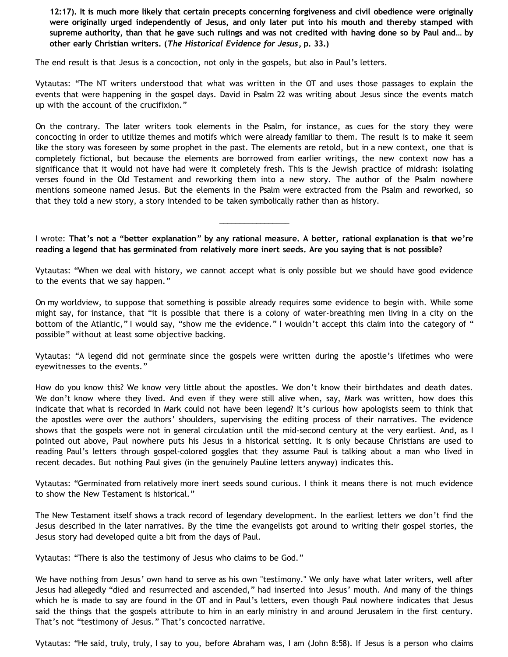**12:17). It is much more likely that certain precepts concerning forgiveness and civil obedience were originally were originally urged independently of Jesus, and only later put into his mouth and thereby stamped with supreme authority, than that he gave such rulings and was not credited with having done so by Paul and… by other early Christian writers. (***The Historical Evidence for Jesus***, p. 33.)**

The end result is that Jesus is a concoction, not only in the gospels, but also in Paul's letters.

Vytautas: "The NT writers understood that what was written in the OT and uses those passages to explain the events that were happening in the gospel days. David in Psalm 22 was writing about Jesus since the events match up with the account of the crucifixion."

On the contrary. The later writers took elements in the Psalm, for instance, as cues for the story they were concocting in order to utilize themes and motifs which were already familiar to them. The result is to make it seem like the story was foreseen by some prophet in the past. The elements are retold, but in a new context, one that is completely fictional, but because the elements are borrowed from earlier writings, the new context now has a significance that it would not have had were it completely fresh. This is the Jewish practice of midrash: isolating verses found in the Old Testament and reworking them into a new story. The author of the Psalm nowhere mentions someone named Jesus. But the elements in the Psalm were extracted from the Psalm and reworked, so that they told a new story, a story intended to be taken symbolically rather than as history.

I wrote: **That's not a "better explanation" by any rational measure. A better, rational explanation is that we're reading a legend that has germinated from relatively more inert seeds. Are you saying that is not possible?**

\_\_\_\_\_\_\_\_\_\_\_\_\_\_\_\_\_

Vytautas: "When we deal with history, we cannot accept what is only possible but we should have good evidence to the events that we say happen."

On my worldview, to suppose that something is possible already requires some evidence to begin with. While some might say, for instance, that "it is possible that there is a colony of water-breathing men living in a city on the bottom of the Atlantic," I would say, "show me the evidence." I wouldn't accept this claim into the category of " possible" without at least some objective backing.

Vytautas: "A legend did not germinate since the gospels were written during the apostle's lifetimes who were eyewitnesses to the events."

How do you know this? We know very little about the apostles. We don't know their birthdates and death dates. We don't know where they lived. And even if they were still alive when, say, Mark was written, how does this indicate that what is recorded in Mark could not have been legend? It's curious how apologists seem to think that the apostles were over the authors' shoulders, supervising the editing process of their narratives. The evidence shows that the gospels were not in general circulation until the mid-second century at the very earliest. And, as I pointed out above, Paul nowhere puts his Jesus in a historical setting. It is only because Christians are used to reading Paul's letters through gospel-colored goggles that they assume Paul is talking about a man who lived in recent decades. But nothing Paul gives (in the genuinely Pauline letters anyway) indicates this.

Vytautas: "Germinated from relatively more inert seeds sound curious. I think it means there is not much evidence to show the New Testament is historical."

The New Testament itself shows a track record of legendary development. In the earliest letters we don't find the Jesus described in the later narratives. By the time the evangelists got around to writing their gospel stories, the Jesus story had developed quite a bit from the days of Paul.

Vytautas: "There is also the testimony of Jesus who claims to be God."

We have nothing from Jesus' own hand to serve as his own "testimony." We only have what later writers, well after Jesus had allegedly "died and resurrected and ascended," had inserted into Jesus' mouth. And many of the things which he is made to say are found in the OT and in Paul's letters, even though Paul nowhere indicates that Jesus said the things that the gospels attribute to him in an early ministry in and around Jerusalem in the first century. That's not "testimony of Jesus." That's concocted narrative.

Vytautas: "He said, truly, truly, I say to you, before Abraham was, I am (John 8:58). If Jesus is a person who claims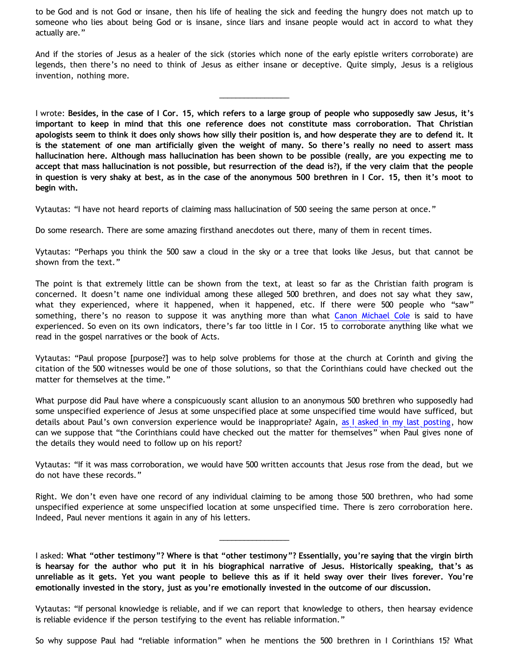to be God and is not God or insane, then his life of healing the sick and feeding the hungry does not match up to someone who lies about being God or is insane, since liars and insane people would act in accord to what they actually are."

And if the stories of Jesus as a healer of the sick (stories which none of the early epistle writers corroborate) are legends, then there's no need to think of Jesus as either insane or deceptive. Quite simply, Jesus is a religious invention, nothing more.

\_\_\_\_\_\_\_\_\_\_\_\_\_\_\_\_\_

I wrote: **Besides, in the case of I Cor. 15, which refers to a large group of people who supposedly saw Jesus, it's important to keep in mind that this one reference does not constitute mass corroboration. That Christian apologists seem to think it does only shows how silly their position is, and how desperate they are to defend it. It is the statement of one man artificially given the weight of many. So there's really no need to assert mass hallucination here. Although mass hallucination has been shown to be possible (really, are you expecting me to accept that mass hallucination is not possible, but resurrection of the dead is?), if the very claim that the people in question is very shaky at best, as in the case of the anonymous 500 brethren in I Cor. 15, then it's moot to begin with.**

Vytautas: "I have not heard reports of claiming mass hallucination of 500 seeing the same person at once."

Do some research. There are some amazing firsthand anecdotes out there, many of them in recent times.

Vytautas: "Perhaps you think the 500 saw a cloud in the sky or a tree that looks like Jesus, but that cannot be shown from the text."

The point is that extremely little can be shown from the text, at least so far as the Christian faith program is concerned. It doesn't name one individual among these alleged 500 brethren, and does not say what they saw, what they experienced, where it happened, when it happened, etc. If there were 500 people who "saw" something, there's no reason to suppose it was anything more than what [Canon Michael Cole](http://bahnsenburner.blogspot.com/2006/06/carr-vs-cole.html) is said to have experienced. So even on its own indicators, there's far too little in I Cor. 15 to corroborate anything like what we read in the gospel narratives or the book of Acts.

Vytautas: "Paul propose [purpose?] was to help solve problems for those at the church at Corinth and giving the citation of the 500 witnesses would be one of those solutions, so that the Corinthians could have checked out the matter for themselves at the time."

What purpose did Paul have where a conspicuously scant allusion to an anonymous 500 brethren who supposedly had some unspecified experience of Jesus at some unspecified place at some unspecified time would have sufficed, but details about Paul's own conversion experience would be inappropriate? Again, [as I asked in my last posting,](http://bahnsenburner.blogspot.com/2008/01/imaginative-basis-of-vytautas-god_13.html) how can we suppose that "the Corinthians could have checked out the matter for themselves" when Paul gives none of the details they would need to follow up on his report?

Vytautas: "If it was mass corroboration, we would have 500 written accounts that Jesus rose from the dead, but we do not have these records."

Right. We don't even have one record of any individual claiming to be among those 500 brethren, who had some unspecified experience at some unspecified location at some unspecified time. There is zero corroboration here. Indeed, Paul never mentions it again in any of his letters.

\_\_\_\_\_\_\_\_\_\_\_\_\_\_\_\_\_

I asked: **What "other testimony"? Where is that "other testimony"? Essentially, you're saying that the virgin birth is hearsay for the author who put it in his biographical narrative of Jesus. Historically speaking, that's as unreliable as it gets. Yet you want people to believe this as if it held sway over their lives forever. You're emotionally invested in the story, just as you're emotionally invested in the outcome of our discussion.**

Vytautas: "If personal knowledge is reliable, and if we can report that knowledge to others, then hearsay evidence is reliable evidence if the person testifying to the event has reliable information."

So why suppose Paul had "reliable information" when he mentions the 500 brethren in I Corinthians 15? What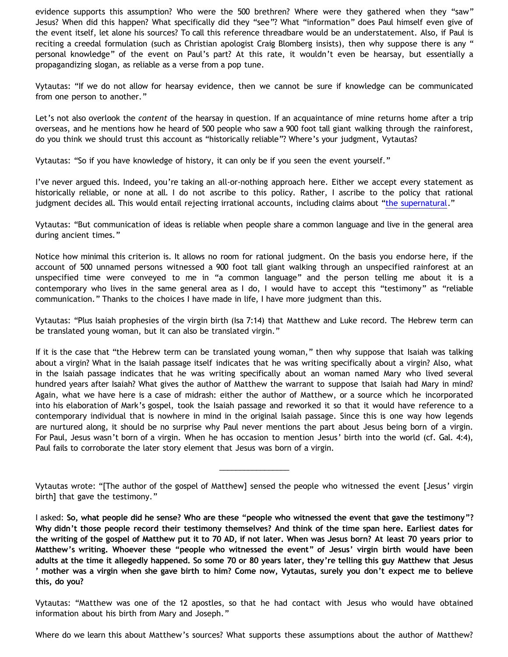evidence supports this assumption? Who were the 500 brethren? Where were they gathered when they "saw" Jesus? When did this happen? What specifically did they "see"? What "information" does Paul himself even give of the event itself, let alone his sources? To call this reference threadbare would be an understatement. Also, if Paul is reciting a creedal formulation (such as Christian apologist Craig Blomberg insists), then why suppose there is any " personal knowledge" of the event on Paul's part? At this rate, it wouldn't even be hearsay, but essentially a propagandizing slogan, as reliable as a verse from a pop tune.

Vytautas: "If we do not allow for hearsay evidence, then we cannot be sure if knowledge can be communicated from one person to another."

Let's not also overlook the *content* of the hearsay in question. If an acquaintance of mine returns home after a trip overseas, and he mentions how he heard of 500 people who saw a 900 foot tall giant walking through the rainforest, do you think we should trust this account as "historically reliable"? Where's your judgment, Vytautas?

Vytautas: "So if you have knowledge of history, it can only be if you seen the event yourself."

I've never argued this. Indeed, you're taking an all-or-nothing approach here. Either we accept every statement as historically reliable, or none at all. I do not ascribe to this policy. Rather, I ascribe to the policy that rational judgment decides all. This would entail rejecting irrational accounts, including claims about ["the supernatural.](http://www.geocities.com/katholon/Bahnsen_Supernatural.htm)"

Vytautas: "But communication of ideas is reliable when people share a common language and live in the general area during ancient times."

Notice how minimal this criterion is. It allows no room for rational judgment. On the basis you endorse here, if the account of 500 unnamed persons witnessed a 900 foot tall giant walking through an unspecified rainforest at an unspecified time were conveyed to me in "a common language" and the person telling me about it is a contemporary who lives in the same general area as I do, I would have to accept this "testimony" as "reliable communication." Thanks to the choices I have made in life, I have more judgment than this.

Vytautas: "Plus Isaiah prophesies of the virgin birth (Isa 7:14) that Matthew and Luke record. The Hebrew term can be translated young woman, but it can also be translated virgin."

If it is the case that "the Hebrew term can be translated young woman," then why suppose that Isaiah was talking about a virgin? What in the Isaiah passage itself indicates that he was writing specifically about a virgin? Also, what in the Isaiah passage indicates that he was writing specifically about an woman named Mary who lived several hundred years after Isaiah? What gives the author of Matthew the warrant to suppose that Isaiah had Mary in mind? Again, what we have here is a case of midrash: either the author of Matthew, or a source which he incorporated into his elaboration of Mark's gospel, took the Isaiah passage and reworked it so that it would have reference to a contemporary individual that is nowhere in mind in the original Isaiah passage. Since this is one way how legends are nurtured along, it should be no surprise why Paul never mentions the part about Jesus being born of a virgin. For Paul, Jesus wasn't born of a virgin. When he has occasion to mention Jesus' birth into the world (cf. Gal. 4:4), Paul fails to corroborate the later story element that Jesus was born of a virgin.

\_\_\_\_\_\_\_\_\_\_\_\_\_\_\_\_\_

Vytautas: "Matthew was one of the 12 apostles, so that he had contact with Jesus who would have obtained information about his birth from Mary and Joseph."

Where do we learn this about Matthew's sources? What supports these assumptions about the author of Matthew?

Vytautas wrote: "[The author of the gospel of Matthew] sensed the people who witnessed the event [Jesus' virgin birth] that gave the testimony."

I asked: **So, what people did he sense? Who are these "people who witnessed the event that gave the testimony"? Why didn't those people record their testimony themselves? And think of the time span here. Earliest dates for the writing of the gospel of Matthew put it to 70 AD, if not later. When was Jesus born? At least 70 years prior to Matthew's writing. Whoever these "people who witnessed the event" of Jesus' virgin birth would have been adults at the time it allegedly happened. So some 70 or 80 years later, they're telling this guy Matthew that Jesus ' mother was a virgin when she gave birth to him? Come now, Vytautas, surely you don't expect me to believe this, do you?**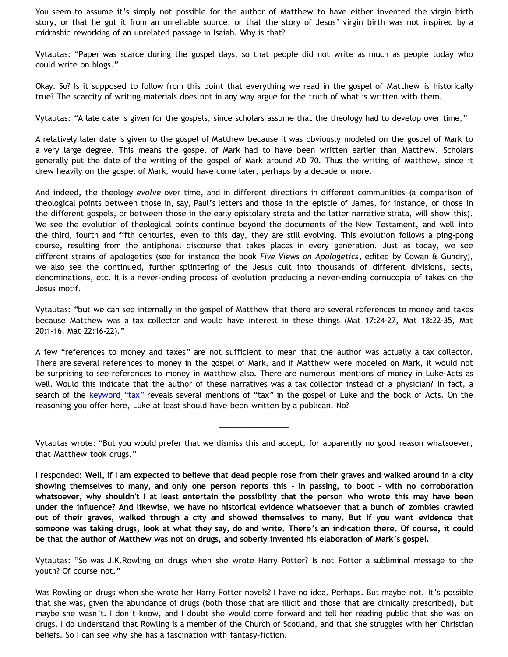You seem to assume it's simply not possible for the author of Matthew to have either invented the virgin birth story, or that he got it from an unreliable source, or that the story of Jesus' virgin birth was not inspired by a midrashic reworking of an unrelated passage in Isaiah. Why is that?

Vytautas: "Paper was scarce during the gospel days, so that people did not write as much as people today who could write on blogs."

Okay. So? Is it supposed to follow from this point that everything we read in the gospel of Matthew is historically true? The scarcity of writing materials does not in any way argue for the truth of what is written with them.

Vytautas: "A late date is given for the gospels, since scholars assume that the theology had to develop over time,"

A relatively later date is given to the gospel of Matthew because it was obviously modeled on the gospel of Mark to a very large degree. This means the gospel of Mark had to have been written earlier than Matthew. Scholars generally put the date of the writing of the gospel of Mark around AD 70. Thus the writing of Matthew, since it drew heavily on the gospel of Mark, would have come later, perhaps by a decade or more.

And indeed, the theology *evolve* over time, and in different directions in different communities (a comparison of theological points between those in, say, Paul's letters and those in the epistle of James, for instance, or those in the different gospels, or between those in the early epistolary strata and the latter narrative strata, will show this). We see the evolution of theological points continue beyond the documents of the New Testament, and well into the third, fourth and fifth centuries, even to this day, they are still evolving. This evolution follows a ping-pong course, resulting from the antiphonal discourse that takes places in every generation. Just as today, we see different strains of apologetics (see for instance the book *Five Views on Apologetics*, edited by Cowan & Gundry), we also see the continued, further splintering of the Jesus cult into thousands of different divisions, sects, denominations, etc. It is a never-ending process of evolution producing a never-ending cornucopia of takes on the Jesus motif.

Vytautas: "but we can see internally in the gospel of Matthew that there are several references to money and taxes because Matthew was a tax collector and would have interest in these things (Mat 17:24-27, Mat 18:22-35, Mat 20:1-16, Mat 22:16-22)."

A few "references to money and taxes" are not sufficient to mean that the author was actually a tax collector. There are several references to money in the gospel of Mark, and if Matthew were modeled on Mark, it would not be surprising to see references to money in Matthew also. There are numerous mentions of money in Luke-Acts as well. Would this indicate that the author of these narratives was a tax collector instead of a physician? In fact, a search of the [keyword](http://www.biblegateway.com/keyword/?search=tax&version1=9&searchtype=all&bookset=2) ["tax"](http://www.biblegateway.com/keyword/?search=tax&version1=9&searchtype=all&bookset=2) reveals several mentions of "tax" in the gospel of Luke and the book of Acts. On the reasoning you offer here, Luke at least should have been written by a publican. No?

Vytautas wrote: "But you would prefer that we dismiss this and accept, for apparently no good reason whatsoever, that Matthew took drugs."

\_\_\_\_\_\_\_\_\_\_\_\_\_\_\_\_\_

I responded: **Well, if I am expected to believe that dead people rose from their graves and walked around in a city showing themselves to many, and only one person reports this – in passing, to boot – with no corroboration whatsoever, why shouldn't I at least entertain the possibility that the person who wrote this may have been under the influence? And likewise, we have no historical evidence whatsoever that a bunch of zombies crawled out of their graves, walked through a city and showed themselves to many. But if you want evidence that someone was taking drugs, look at what they say, do and write. There's an indication there. Of course, it could be that the author of Matthew was not on drugs, and soberly invented his elaboration of Mark's gospel.**

Vytautas: "So was J.K.Rowling on drugs when she wrote Harry Potter? Is not Potter a subliminal message to the youth? Of course not."

Was Rowling on drugs when she wrote her Harry Potter novels? I have no idea. Perhaps. But maybe not. It's possible that she was, given the abundance of drugs (both those that are illicit and those that are clinically prescribed), but maybe she wasn't. I don't know, and I doubt she would come forward and tell her reading public that she was on drugs. I do understand that Rowling is a member of the Church of Scotland, and that she struggles with her Christian beliefs. So I can see why she has a fascination with fantasy-fiction.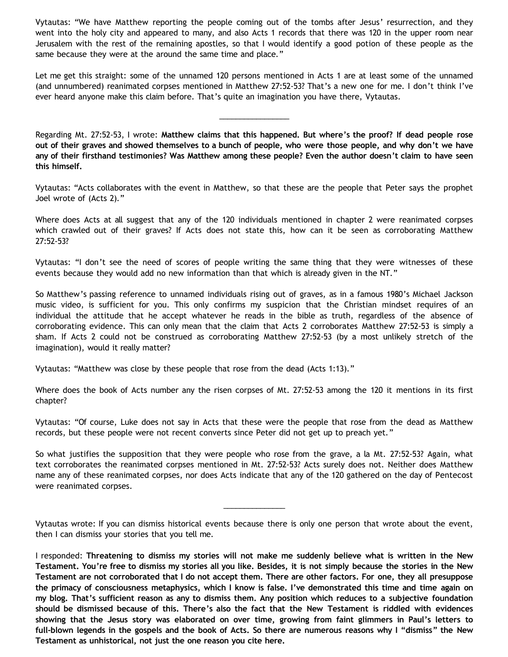Vytautas: "We have Matthew reporting the people coming out of the tombs after Jesus' resurrection, and they went into the holy city and appeared to many, and also Acts 1 records that there was 120 in the upper room near Jerusalem with the rest of the remaining apostles, so that I would identify a good potion of these people as the same because they were at the around the same time and place."

Let me get this straight: some of the unnamed 120 persons mentioned in Acts 1 are at least some of the unnamed (and unnumbered) reanimated corpses mentioned in Matthew 27:52-53? That's a new one for me. I don't think I've ever heard anyone make this claim before. That's quite an imagination you have there, Vytautas.

\_\_\_\_\_\_\_\_\_\_\_\_\_\_\_\_\_

Regarding Mt. 27:52-53, I wrote: **Matthew claims that this happened. But where's the proof? If dead people rose out of their graves and showed themselves to a bunch of people, who were those people, and why don't we have any of their firsthand testimonies? Was Matthew among these people? Even the author doesn't claim to have seen this himself.**

Vytautas: "Acts collaborates with the event in Matthew, so that these are the people that Peter says the prophet Joel wrote of (Acts 2)."

Where does Acts at all suggest that any of the 120 individuals mentioned in chapter 2 were reanimated corpses which crawled out of their graves? If Acts does not state this, how can it be seen as corroborating Matthew 27:52-53?

Vytautas: "I don't see the need of scores of people writing the same thing that they were witnesses of these events because they would add no new information than that which is already given in the NT."

So Matthew's passing reference to unnamed individuals rising out of graves, as in a famous 1980's Michael Jackson music video, is sufficient for you. This only confirms my suspicion that the Christian mindset requires of an individual the attitude that he accept whatever he reads in the bible as truth, regardless of the absence of corroborating evidence. This can only mean that the claim that Acts 2 corroborates Matthew 27:52-53 is simply a sham. If Acts 2 could not be construed as corroborating Matthew 27:52-53 (by a most unlikely stretch of the imagination), would it really matter?

Vytautas: "Matthew was close by these people that rose from the dead (Acts 1:13)."

Where does the book of Acts number any the risen corpses of Mt. 27:52-53 among the 120 it mentions in its first chapter?

Vytautas: "Of course, Luke does not say in Acts that these were the people that rose from the dead as Matthew records, but these people were not recent converts since Peter did not get up to preach yet."

So what justifies the supposition that they were people who rose from the grave, a la Mt. 27:52-53? Again, what text corroborates the reanimated corpses mentioned in Mt. 27:52-53? Acts surely does not. Neither does Matthew name any of these reanimated corpses, nor does Acts indicate that any of the 120 gathered on the day of Pentecost were reanimated corpses.

Vytautas wrote: If you can dismiss historical events because there is only one person that wrote about the event, then I can dismiss your stories that you tell me.

\_\_\_\_\_\_\_\_\_\_\_\_\_\_\_

I responded: **Threatening to dismiss my stories will not make me suddenly believe what is written in the New Testament. You're free to dismiss my stories all you like. Besides, it is not simply because the stories in the New Testament are not corroborated that I do not accept them. There are other factors. For one, they all presuppose the primacy of consciousness metaphysics, which I know is false. I've demonstrated this time and time again on my blog. That's sufficient reason as any to dismiss them. Any position which reduces to a subjective foundation should be dismissed because of this. There's also the fact that the New Testament is riddled with evidences showing that the Jesus story was elaborated on over time, growing from faint glimmers in Paul's letters to full-blown legends in the gospels and the book of Acts. So there are numerous reasons why I "dismiss" the New Testament as unhistorical, not just the one reason you cite here.**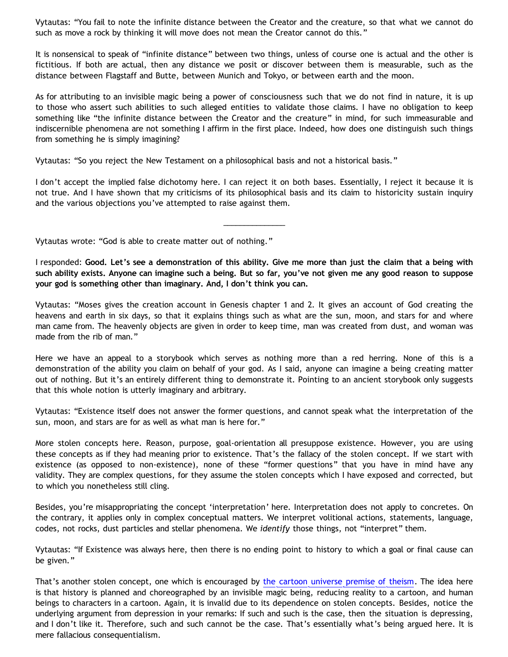Vytautas: "You fail to note the infinite distance between the Creator and the creature, so that what we cannot do such as move a rock by thinking it will move does not mean the Creator cannot do this."

It is nonsensical to speak of "infinite distance" between two things, unless of course one is actual and the other is fictitious. If both are actual, then any distance we posit or discover between them is measurable, such as the distance between Flagstaff and Butte, between Munich and Tokyo, or between earth and the moon.

As for attributing to an invisible magic being a power of consciousness such that we do not find in nature, it is up to those who assert such abilities to such alleged entities to validate those claims. I have no obligation to keep something like "the infinite distance between the Creator and the creature" in mind, for such immeasurable and indiscernible phenomena are not something I affirm in the first place. Indeed, how does one distinguish such things from something he is simply imagining?

Vytautas: "So you reject the New Testament on a philosophical basis and not a historical basis."

I don't accept the implied false dichotomy here. I can reject it on both bases. Essentially, I reject it because it is not true. And I have shown that my criticisms of its philosophical basis and its claim to historicity sustain inquiry and the various objections you've attempted to raise against them.

\_\_\_\_\_\_\_\_\_\_\_\_\_\_\_

Vytautas wrote: "God is able to create matter out of nothing."

I responded: **Good. Let's see a demonstration of this ability. Give me more than just the claim that a being with such ability exists. Anyone can imagine such a being. But so far, you've not given me any good reason to suppose your god is something other than imaginary. And, I don't think you can.**

Vytautas: "Moses gives the creation account in Genesis chapter 1 and 2. It gives an account of God creating the heavens and earth in six days, so that it explains things such as what are the sun, moon, and stars for and where man came from. The heavenly objects are given in order to keep time, man was created from dust, and woman was made from the rib of man."

Here we have an appeal to a storybook which serves as nothing more than a red herring. None of this is a demonstration of the ability you claim on behalf of your god. As I said, anyone can imagine a being creating matter out of nothing. But it's an entirely different thing to demonstrate it. Pointing to an ancient storybook only suggests that this whole notion is utterly imaginary and arbitrary.

Vytautas: "Existence itself does not answer the former questions, and cannot speak what the interpretation of the sun, moon, and stars are for as well as what man is here for."

More stolen concepts here. Reason, purpose, goal-orientation all presuppose existence. However, you are using these concepts as if they had meaning prior to existence. That's the fallacy of the stolen concept. If we start with existence (as opposed to non-existence), none of these "former questions" that you have in mind have any validity. They are complex questions, for they assume the stolen concepts which I have exposed and corrected, but to which you nonetheless still cling.

Besides, you're misappropriating the concept 'interpretation' here. Interpretation does not apply to concretes. On the contrary, it applies only in complex conceptual matters. We interpret volitional actions, statements, language, codes, not rocks, dust particles and stellar phenomena. We *identify* those things, not "interpret" them.

Vytautas: "If Existence was always here, then there is no ending point to history to which a goal or final cause can be given."

That's another stolen concept, one which is encouraged by [the cartoon universe premise of theism.](http://www.strongatheism.net/library/atheology/cartoon_universe_of_theism/) The idea here is that history is planned and choreographed by an invisible magic being, reducing reality to a cartoon, and human beings to characters in a cartoon. Again, it is invalid due to its dependence on stolen concepts. Besides, notice the underlying argument from depression in your remarks: If such and such is the case, then the situation is depressing, and I don't like it. Therefore, such and such cannot be the case. That's essentially what's being argued here. It is mere fallacious consequentialism.